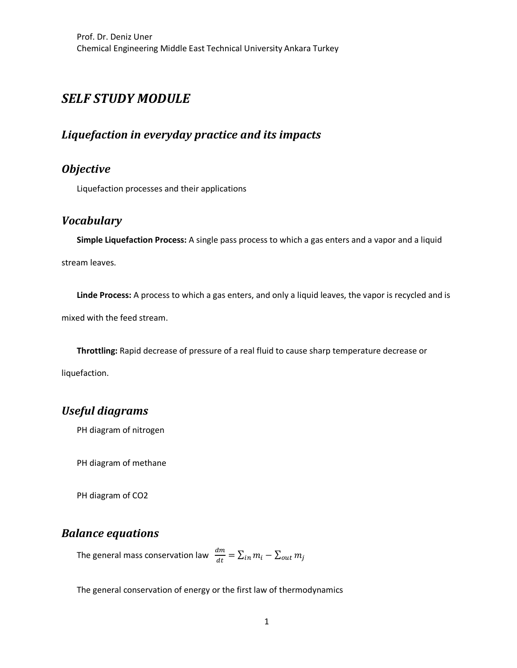# **SELF STUDY MODULE**

### *Liquefaction in everyday practice and its impacts*

## *Objective*

Liquefaction processes and their applications

#### *Vocabulary*

**Simple Liquefaction Process:** A single pass process to which a gas enters and a vapor and a liquid

stream leaves.

**Linde Process:** A process to which a gas enters, and only a liquid leaves, the vapor is recycled and is mixed with the feed stream.

**Throttling:** Rapid decrease of pressure of a real fluid to cause sharp temperature decrease or liquefaction.

### *Useful diagrams*

PH diagram of nitrogen

PH diagram of methane

PH diagram of CO2

#### *Balance equations*

The general mass conservation law  $\;\frac{dm}{dt}=\sum_{in}m_i-\sum_{out}m_j$ 

The general conservation of energy or the first law of thermodynamics